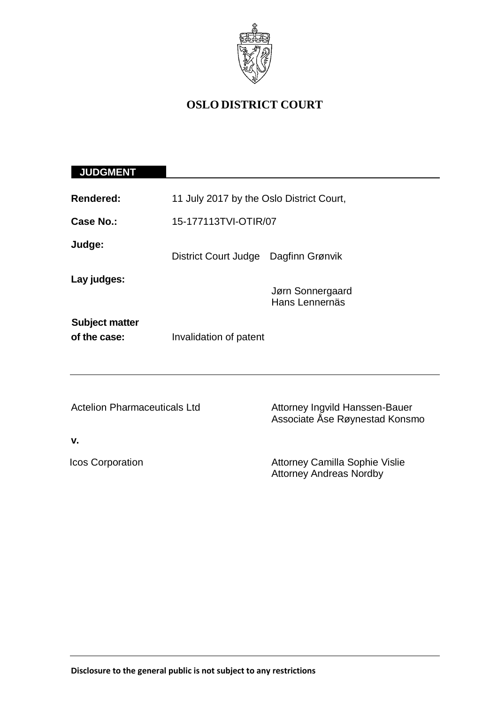

# **OSLO DISTRICT COURT**

# **JUDGMENT**

| <b>Rendered:</b>                      | 11 July 2017 by the Oslo District Court, |                                                                         |
|---------------------------------------|------------------------------------------|-------------------------------------------------------------------------|
| Case No.:                             | 15-177113TVI-OTIR/07                     |                                                                         |
| Judge:                                | District Court Judge Dagfinn Grønvik     |                                                                         |
| Lay judges:                           |                                          | Jørn Sonnergaard<br>Hans Lennernäs                                      |
| <b>Subject matter</b><br>of the case: | Invalidation of patent                   |                                                                         |
| <b>Actelion Pharmaceuticals Ltd</b>   |                                          | Attorney Ingvild Hanssen-Bauer<br>Associate Ase Røynestad Konsmo        |
| v.                                    |                                          |                                                                         |
| <b>Icos Corporation</b>               |                                          | <b>Attorney Camilla Sophie Vislie</b><br><b>Attorney Andreas Nordby</b> |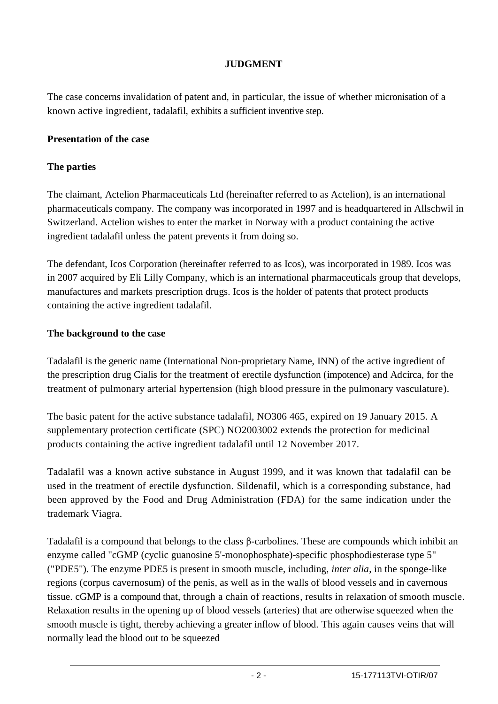## **JUDGMENT**

The case concerns invalidation of patent and, in particular, the issue of whether micronisation of a known active ingredient, tadalafil, exhibits a sufficient inventive step.

#### **Presentation of the case**

### **The parties**

The claimant, Actelion Pharmaceuticals Ltd (hereinafter referred to as Actelion), is an international pharmaceuticals company. The company was incorporated in 1997 and is headquartered in Allschwil in Switzerland. Actelion wishes to enter the market in Norway with a product containing the active ingredient tadalafil unless the patent prevents it from doing so.

The defendant, Icos Corporation (hereinafter referred to as Icos), was incorporated in 1989. Icos was in 2007 acquired by Eli Lilly Company, which is an international pharmaceuticals group that develops, manufactures and markets prescription drugs. Icos is the holder of patents that protect products containing the active ingredient tadalafil.

#### **The background to the case**

Tadalafil is the generic name (International Non-proprietary Name, INN) of the active ingredient of the prescription drug Cialis for the treatment of erectile dysfunction (impotence) and Adcirca, for the treatment of pulmonary arterial hypertension (high blood pressure in the pulmonary vasculature).

The basic patent for the active substance tadalafil, NO306 465, expired on 19 January 2015. A supplementary protection certificate (SPC) NO2003002 extends the protection for medicinal products containing the active ingredient tadalafil until 12 November 2017.

Tadalafil was a known active substance in August 1999, and it was known that tadalafil can be used in the treatment of erectile dysfunction. Sildenafil, which is a corresponding substance, had been approved by the Food and Drug Administration (FDA) for the same indication under the trademark Viagra.

Tadalafil is a compound that belongs to the class β-carbolines. These are compounds which inhibit an enzyme called "cGMP (cyclic guanosine 5'-monophosphate)-specific phosphodiesterase type 5" ("PDE5"). The enzyme PDE5 is present in smooth muscle, including, *inter alia*, in the sponge-like regions (corpus cavernosum) of the penis, as well as in the walls of blood vessels and in cavernous tissue. cGMP is a compound that, through a chain of reactions, results in relaxation of smooth muscle. Relaxation results in the opening up of blood vessels (arteries) that are otherwise squeezed when the smooth muscle is tight, thereby achieving a greater inflow of blood. This again causes veins that will normally lead the blood out to be squeezed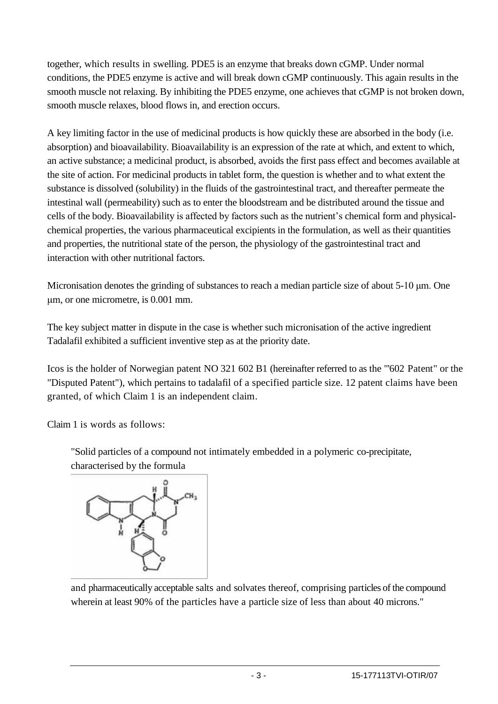together, which results in swelling. PDE5 is an enzyme that breaks down cGMP. Under normal conditions, the PDE5 enzyme is active and will break down cGMP continuously. This again results in the smooth muscle not relaxing. By inhibiting the PDE5 enzyme, one achieves that cGMP is not broken down, smooth muscle relaxes, blood flows in, and erection occurs.

A key limiting factor in the use of medicinal products is how quickly these are absorbed in the body (i.e. absorption) and bioavailability. Bioavailability is an expression of the rate at which, and extent to which, an active substance; a medicinal product, is absorbed, avoids the first pass effect and becomes available at the site of action. For medicinal products in tablet form, the question is whether and to what extent the substance is dissolved (solubility) in the fluids of the gastrointestinal tract, and thereafter permeate the intestinal wall (permeability) such as to enter the bloodstream and be distributed around the tissue and cells of the body. Bioavailability is affected by factors such as the nutrient's chemical form and physicalchemical properties, the various pharmaceutical excipients in the formulation, as well as their quantities and properties, the nutritional state of the person, the physiology of the gastrointestinal tract and interaction with other nutritional factors.

Micronisation denotes the grinding of substances to reach a median particle size of about 5-10 μm. One μm, or one micrometre, is 0.001 mm.

The key subject matter in dispute in the case is whether such micronisation of the active ingredient Tadalafil exhibited a sufficient inventive step as at the priority date.

Icos is the holder of Norwegian patent NO 321 602 B1 (hereinafter referred to as the "'602 Patent" or the "Disputed Patent"), which pertains to tadalafil of a specified particle size. 12 patent claims have been granted, of which Claim 1 is an independent claim.

Claim 1 is words as follows:

"Solid particles of a compound not intimately embedded in a polymeric co-precipitate, characterised by the formula



and pharmaceutically acceptable salts and solvates thereof, comprising particles of the compound wherein at least 90% of the particles have a particle size of less than about 40 microns."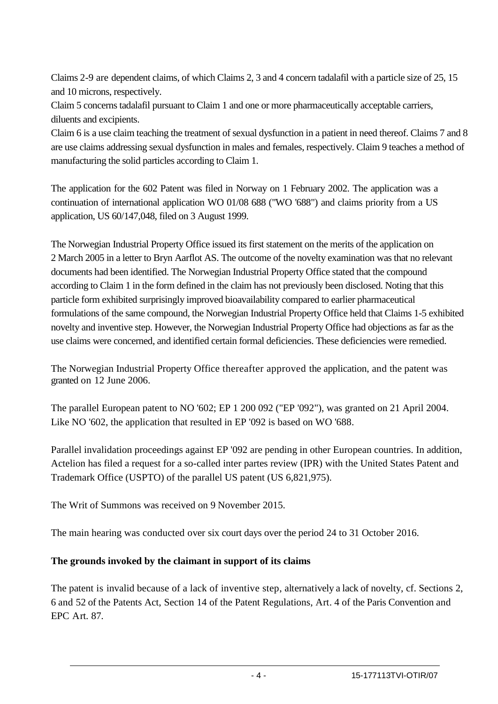Claims 2-9 are dependent claims, of which Claims 2, 3 and 4 concern tadalafil with a particle size of 25, 15 and 10 microns, respectively.

Claim 5 concerns tadalafil pursuant to Claim 1 and one or more pharmaceutically acceptable carriers, diluents and excipients.

Claim 6 is a use claim teaching the treatment of sexual dysfunction in a patient in need thereof. Claims 7 and 8 are use claims addressing sexual dysfunction in males and females, respectively. Claim 9 teaches a method of manufacturing the solid particles according to Claim 1.

The application for the 602 Patent was filed in Norway on 1 February 2002. The application was a continuation of international application WO 01/08 688 ("WO '688") and claims priority from a US application, US 60/147,048, filed on 3 August 1999.

The Norwegian Industrial Property Office issued its first statement on the merits of the application on 2 March 2005 in a letter to Bryn Aarflot AS. The outcome of the novelty examination was that no relevant documents had been identified. The Norwegian Industrial Property Office stated that the compound according to Claim 1 in the form defined in the claim has not previously been disclosed. Noting that this particle form exhibited surprisingly improved bioavailability compared to earlier pharmaceutical formulations of the same compound, the Norwegian Industrial Property Office held that Claims 1-5 exhibited novelty and inventive step. However, the Norwegian Industrial Property Office had objections as far as the use claims were concerned, and identified certain formal deficiencies. These deficiencies were remedied.

The Norwegian Industrial Property Office thereafter approved the application, and the patent was granted on 12 June 2006.

The parallel European patent to NO '602; EP 1 200 092 ("EP '092"), was granted on 21 April 2004. Like NO '602, the application that resulted in EP '092 is based on WO '688.

Parallel invalidation proceedings against EP '092 are pending in other European countries. In addition, Actelion has filed a request for a so-called inter partes review (IPR) with the United States Patent and Trademark Office (USPTO) of the parallel US patent (US 6,821,975).

The Writ of Summons was received on 9 November 2015.

The main hearing was conducted over six court days over the period 24 to 31 October 2016.

# **The grounds invoked by the claimant in support of its claims**

The patent is invalid because of a lack of inventive step, alternatively a lack of novelty, cf. Sections 2, 6 and 52 of the Patents Act, Section 14 of the Patent Regulations, Art. 4 of the Paris Convention and EPC Art. 87.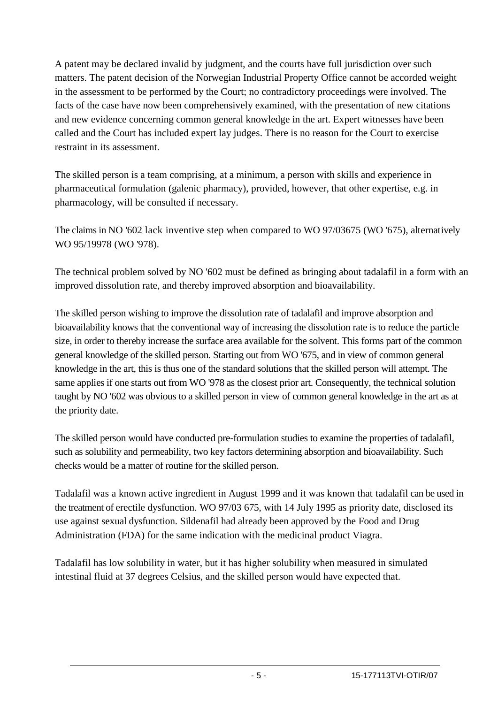A patent may be declared invalid by judgment, and the courts have full jurisdiction over such matters. The patent decision of the Norwegian Industrial Property Office cannot be accorded weight in the assessment to be performed by the Court; no contradictory proceedings were involved. The facts of the case have now been comprehensively examined, with the presentation of new citations and new evidence concerning common general knowledge in the art. Expert witnesses have been called and the Court has included expert lay judges. There is no reason for the Court to exercise restraint in its assessment.

The skilled person is a team comprising, at a minimum, a person with skills and experience in pharmaceutical formulation (galenic pharmacy), provided, however, that other expertise, e.g. in pharmacology, will be consulted if necessary.

The claims in NO '602 lack inventive step when compared to WO 97/03675 (WO '675), alternatively WO 95/19978 (WO '978).

The technical problem solved by NO '602 must be defined as bringing about tadalafil in a form with an improved dissolution rate, and thereby improved absorption and bioavailability.

The skilled person wishing to improve the dissolution rate of tadalafil and improve absorption and bioavailability knows that the conventional way of increasing the dissolution rate is to reduce the particle size, in order to thereby increase the surface area available for the solvent. This forms part of the common general knowledge of the skilled person. Starting out from WO '675, and in view of common general knowledge in the art, this is thus one of the standard solutions that the skilled person will attempt. The same applies if one starts out from WO '978 as the closest prior art. Consequently, the technical solution taught by NO '602 was obvious to a skilled person in view of common general knowledge in the art as at the priority date.

The skilled person would have conducted pre-formulation studies to examine the properties of tadalafil, such as solubility and permeability, two key factors determining absorption and bioavailability. Such checks would be a matter of routine for the skilled person.

Tadalafil was a known active ingredient in August 1999 and it was known that tadalafil can be used in the treatment of erectile dysfunction. WO 97/03 675, with 14 July 1995 as priority date, disclosed its use against sexual dysfunction. Sildenafil had already been approved by the Food and Drug Administration (FDA) for the same indication with the medicinal product Viagra.

Tadalafil has low solubility in water, but it has higher solubility when measured in simulated intestinal fluid at 37 degrees Celsius, and the skilled person would have expected that.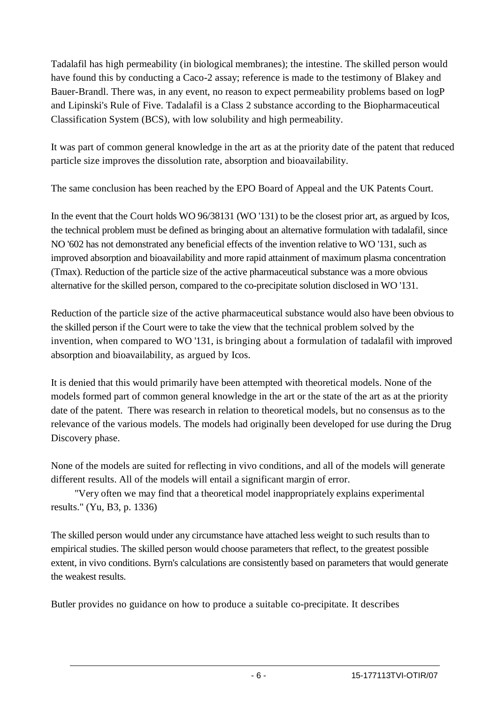Tadalafil has high permeability (in biological membranes); the intestine. The skilled person would have found this by conducting a Caco-2 assay; reference is made to the testimony of Blakey and Bauer-Brandl. There was, in any event, no reason to expect permeability problems based on logP and Lipinski's Rule of Five. Tadalafil is a Class 2 substance according to the Biopharmaceutical Classification System (BCS), with low solubility and high permeability.

It was part of common general knowledge in the art as at the priority date of the patent that reduced particle size improves the dissolution rate, absorption and bioavailability.

The same conclusion has been reached by the EPO Board of Appeal and the UK Patents Court.

In the event that the Court holds WO 96/38131 (WO '131) to be the closest prior art, as argued by Icos, the technical problem must be defined as bringing about an alternative formulation with tadalafil, since NO '602 has not demonstrated any beneficial effects of the invention relative to WO '131, such as improved absorption and bioavailability and more rapid attainment of maximum plasma concentration (Tmax). Reduction of the particle size of the active pharmaceutical substance was a more obvious alternative for the skilled person, compared to the co-precipitate solution disclosed in WO '131.

Reduction of the particle size of the active pharmaceutical substance would also have been obvious to the skilled person if the Court were to take the view that the technical problem solved by the invention, when compared to WO '131, is bringing about a formulation of tadalafil with improved absorption and bioavailability, as argued by Icos.

It is denied that this would primarily have been attempted with theoretical models. None of the models formed part of common general knowledge in the art or the state of the art as at the priority date of the patent. There was research in relation to theoretical models, but no consensus as to the relevance of the various models. The models had originally been developed for use during the Drug Discovery phase.

None of the models are suited for reflecting in vivo conditions, and all of the models will generate different results. All of the models will entail a significant margin of error.

"Very often we may find that a theoretical model inappropriately explains experimental results." (Yu, B3, p. 1336)

The skilled person would under any circumstance have attached less weight to such results than to empirical studies. The skilled person would choose parameters that reflect, to the greatest possible extent, in vivo conditions. Byrn's calculations are consistently based on parameters that would generate the weakest results.

Butler provides no guidance on how to produce a suitable co-precipitate. It describes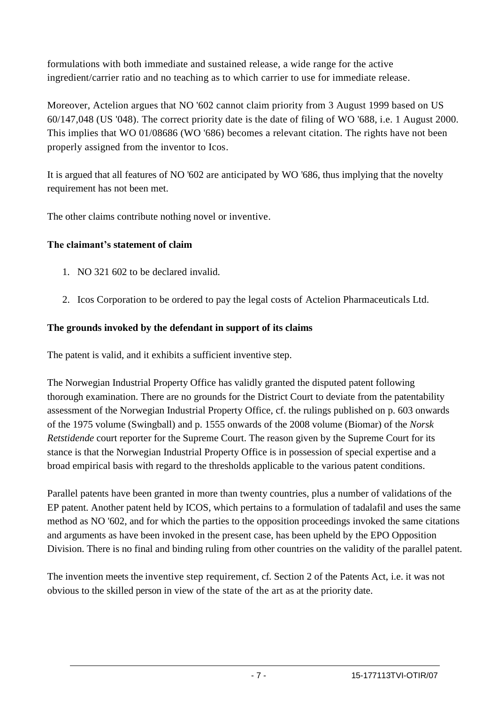formulations with both immediate and sustained release, a wide range for the active ingredient/carrier ratio and no teaching as to which carrier to use for immediate release.

Moreover, Actelion argues that NO '602 cannot claim priority from 3 August 1999 based on US 60/147,048 (US '048). The correct priority date is the date of filing of WO '688, i.e. 1 August 2000. This implies that WO 01/08686 (WO '686) becomes a relevant citation. The rights have not been properly assigned from the inventor to Icos.

It is argued that all features of NO '602 are anticipated by WO '686, thus implying that the novelty requirement has not been met.

The other claims contribute nothing novel or inventive.

# **The claimant's statement of claim**

- 1. NO 321 602 to be declared invalid.
- 2. Icos Corporation to be ordered to pay the legal costs of Actelion Pharmaceuticals Ltd.

### **The grounds invoked by the defendant in support of its claims**

The patent is valid, and it exhibits a sufficient inventive step.

The Norwegian Industrial Property Office has validly granted the disputed patent following thorough examination. There are no grounds for the District Court to deviate from the patentability assessment of the Norwegian Industrial Property Office, cf. the rulings published on p. 603 onwards of the 1975 volume (Swingball) and p. 1555 onwards of the 2008 volume (Biomar) of the *Norsk Retstidende* court reporter for the Supreme Court. The reason given by the Supreme Court for its stance is that the Norwegian Industrial Property Office is in possession of special expertise and a broad empirical basis with regard to the thresholds applicable to the various patent conditions.

Parallel patents have been granted in more than twenty countries, plus a number of validations of the EP patent. Another patent held by ICOS, which pertains to a formulation of tadalafil and uses the same method as NO '602, and for which the parties to the opposition proceedings invoked the same citations and arguments as have been invoked in the present case, has been upheld by the EPO Opposition Division. There is no final and binding ruling from other countries on the validity of the parallel patent.

The invention meets the inventive step requirement, cf. Section 2 of the Patents Act, i.e. it was not obvious to the skilled person in view of the state of the art as at the priority date.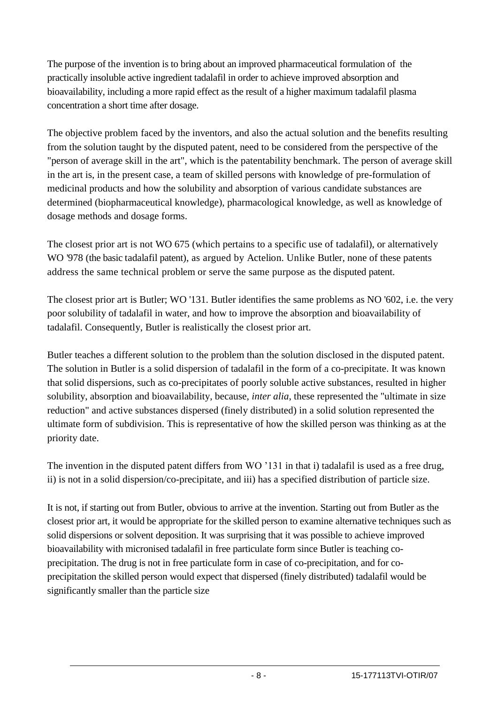The purpose of the invention is to bring about an improved pharmaceutical formulation of the practically insoluble active ingredient tadalafil in order to achieve improved absorption and bioavailability, including a more rapid effect as the result of a higher maximum tadalafil plasma concentration a short time after dosage.

The objective problem faced by the inventors, and also the actual solution and the benefits resulting from the solution taught by the disputed patent, need to be considered from the perspective of the "person of average skill in the art", which is the patentability benchmark. The person of average skill in the art is, in the present case, a team of skilled persons with knowledge of pre-formulation of medicinal products and how the solubility and absorption of various candidate substances are determined (biopharmaceutical knowledge), pharmacological knowledge, as well as knowledge of dosage methods and dosage forms.

The closest prior art is not WO 675 (which pertains to a specific use of tadalafil), or alternatively WO '978 (the basic tadalafil patent), as argued by Actelion. Unlike Butler, none of these patents address the same technical problem or serve the same purpose as the disputed patent.

The closest prior art is Butler; WO '131. Butler identifies the same problems as NO '602, i.e. the very poor solubility of tadalafil in water, and how to improve the absorption and bioavailability of tadalafil. Consequently, Butler is realistically the closest prior art.

Butler teaches a different solution to the problem than the solution disclosed in the disputed patent. The solution in Butler is a solid dispersion of tadalafil in the form of a co-precipitate. It was known that solid dispersions, such as co-precipitates of poorly soluble active substances, resulted in higher solubility, absorption and bioavailability, because, *inter alia*, these represented the "ultimate in size reduction" and active substances dispersed (finely distributed) in a solid solution represented the ultimate form of subdivision. This is representative of how the skilled person was thinking as at the priority date.

The invention in the disputed patent differs from WO '131 in that i) tadalafil is used as a free drug, ii) is not in a solid dispersion/co-precipitate, and iii) has a specified distribution of particle size.

It is not, if starting out from Butler, obvious to arrive at the invention. Starting out from Butler as the closest prior art, it would be appropriate for the skilled person to examine alternative techniques such as solid dispersions or solvent deposition. It was surprising that it was possible to achieve improved bioavailability with micronised tadalafil in free particulate form since Butler is teaching coprecipitation. The drug is not in free particulate form in case of co-precipitation, and for coprecipitation the skilled person would expect that dispersed (finely distributed) tadalafil would be significantly smaller than the particle size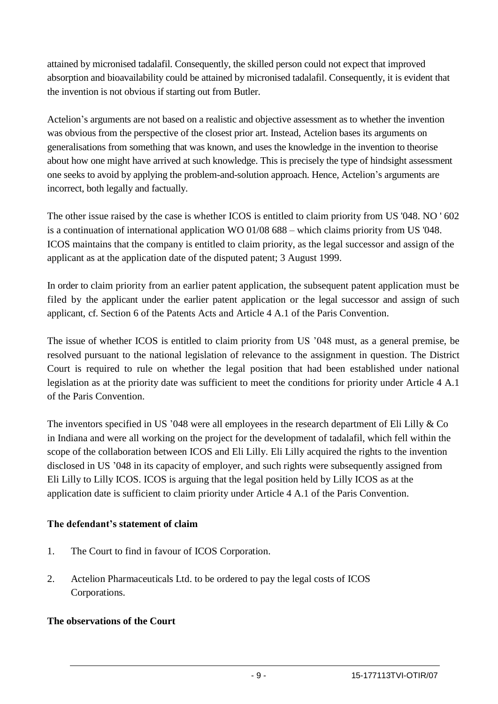attained by micronised tadalafil. Consequently, the skilled person could not expect that improved absorption and bioavailability could be attained by micronised tadalafil. Consequently, it is evident that the invention is not obvious if starting out from Butler.

Actelion's arguments are not based on a realistic and objective assessment as to whether the invention was obvious from the perspective of the closest prior art. Instead, Actelion bases its arguments on generalisations from something that was known, and uses the knowledge in the invention to theorise about how one might have arrived at such knowledge. This is precisely the type of hindsight assessment one seeks to avoid by applying the problem-and-solution approach. Hence, Actelion's arguments are incorrect, both legally and factually.

The other issue raised by the case is whether ICOS is entitled to claim priority from US '048. NO ' 602 is a continuation of international application WO 01/08 688 – which claims priority from US '048. ICOS maintains that the company is entitled to claim priority, as the legal successor and assign of the applicant as at the application date of the disputed patent; 3 August 1999.

In order to claim priority from an earlier patent application, the subsequent patent application must be filed by the applicant under the earlier patent application or the legal successor and assign of such applicant, cf. Section 6 of the Patents Acts and Article 4 A.1 of the Paris Convention.

The issue of whether ICOS is entitled to claim priority from US '048 must, as a general premise, be resolved pursuant to the national legislation of relevance to the assignment in question. The District Court is required to rule on whether the legal position that had been established under national legislation as at the priority date was sufficient to meet the conditions for priority under Article 4 A.1 of the Paris Convention.

The inventors specified in US '048 were all employees in the research department of Eli Lilly & Co in Indiana and were all working on the project for the development of tadalafil, which fell within the scope of the collaboration between ICOS and Eli Lilly. Eli Lilly acquired the rights to the invention disclosed in US '048 in its capacity of employer, and such rights were subsequently assigned from Eli Lilly to Lilly ICOS. ICOS is arguing that the legal position held by Lilly ICOS as at the application date is sufficient to claim priority under Article 4 A.1 of the Paris Convention.

# **The defendant's statement of claim**

- 1. The Court to find in favour of ICOS Corporation.
- 2. Actelion Pharmaceuticals Ltd. to be ordered to pay the legal costs of ICOS Corporations.

#### **The observations of the Court**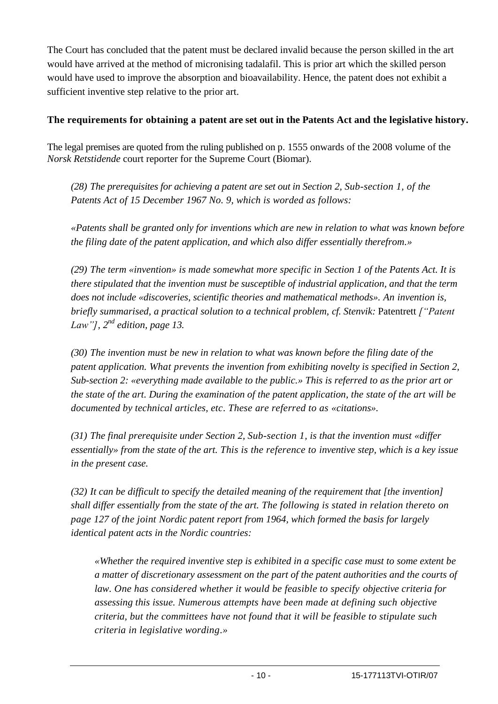The Court has concluded that the patent must be declared invalid because the person skilled in the art would have arrived at the method of micronising tadalafil. This is prior art which the skilled person would have used to improve the absorption and bioavailability. Hence, the patent does not exhibit a sufficient inventive step relative to the prior art.

### **The requirements for obtaining a patent are set out in the Patents Act and the legislative history.**

The legal premises are quoted from the ruling published on p. 1555 onwards of the 2008 volume of the *Norsk Retstidende* court reporter for the Supreme Court (Biomar).

*(28) The prerequisites for achieving a patent are set out in Section 2, Sub-section 1, of the Patents Act of 15 December 1967 No. 9, which is worded as follows:*

*«Patents shall be granted only for inventions which are new in relation to what was known before the filing date of the patent application, and which also differ essentially therefrom.»*

*(29) The term «invention» is made somewhat more specific in Section 1 of the Patents Act. It is there stipulated that the invention must be susceptible of industrial application, and that the term does not include «discoveries, scientific theories and mathematical methods». An invention is, briefly summarised, a practical solution to a technical problem, cf. Stenvik:* Patentrett *["Patent Law"], 2 nd edition, page 13.*

*(30) The invention must be new in relation to what was known before the filing date of the patent application. What prevents the invention from exhibiting novelty is specified in Section 2, Sub-section 2: «everything made available to the public.» This is referred to as the prior art or the state of the art. During the examination of the patent application, the state of the art will be documented by technical articles, etc. These are referred to as «citations».*

*(31) The final prerequisite under Section 2, Sub-section 1, is that the invention must «differ essentially» from the state of the art. This is the reference to inventive step, which is a key issue in the present case.*

*(32) It can be difficult to specify the detailed meaning of the requirement that [the invention] shall differ essentially from the state of the art. The following is stated in relation thereto on page 127 of the joint Nordic patent report from 1964, which formed the basis for largely identical patent acts in the Nordic countries:*

*«Whether the required inventive step is exhibited in a specific case must to some extent be a matter of discretionary assessment on the part of the patent authorities and the courts of law. One has considered whether it would be feasible to specify objective criteria for assessing this issue. Numerous attempts have been made at defining such objective criteria, but the committees have not found that it will be feasible to stipulate such criteria in legislative wording.»*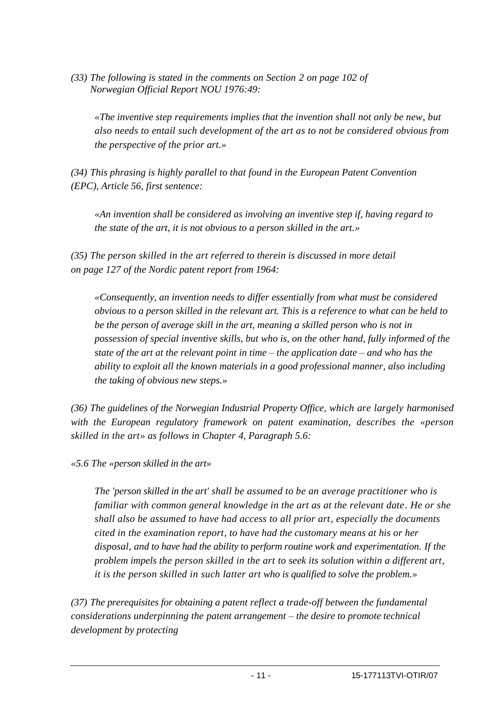*(33) The following is stated in the comments on Section 2 on page 102 of Norwegian Official Report NOU 1976:49:*

*«The inventive step requirements implies that the invention shall not only be new, but also needs to entail such development of the art as to not be considered obvious from the perspective of the prior art.»*

*(34) This phrasing is highly parallel to that found in the European Patent Convention (EPC), Article 56, first sentence:*

*«An invention shall be considered as involving an inventive step if, having regard to the state of the art, it is not obvious to a person skilled in the art.»*

*(35) The person skilled in the art referred to therein is discussed in more detail on page 127 of the Nordic patent report from 1964:*

*«Consequently, an invention needs to differ essentially from what must be considered obvious to a person skilled in the relevant art. This is a reference to what can be held to be the person of average skill in the art, meaning a skilled person who is not in possession of special inventive skills, but who is, on the other hand, fully informed of the state of the art at the relevant point in time – the application date – and who has the ability to exploit all the known materials in a good professional manner, also including the taking of obvious new steps.»*

*(36) The guidelines of the Norwegian Industrial Property Office, which are largely harmonised with the European regulatory framework on patent examination, describes the «person skilled in the art» as follows in Chapter 4, Paragraph 5.6:*

*«5.6 The «person skilled in the art»*

*The 'person skilled in the art' shall be assumed to be an average practitioner who is familiar with common general knowledge in the art as at the relevant date. He or she shall also be assumed to have had access to all prior art, especially the documents cited in the examination report, to have had the customary means at his or her disposal, and to have had the ability to perform routine work and experimentation. If the problem impels the person skilled in the art to seek its solution within a different art, it is the person skilled in such latter art who is qualified to solve the problem.»*

*(37) The prerequisites for obtaining a patent reflect a trade-off between the fundamental considerations underpinning the patent arrangement – the desire to promote technical development by protecting*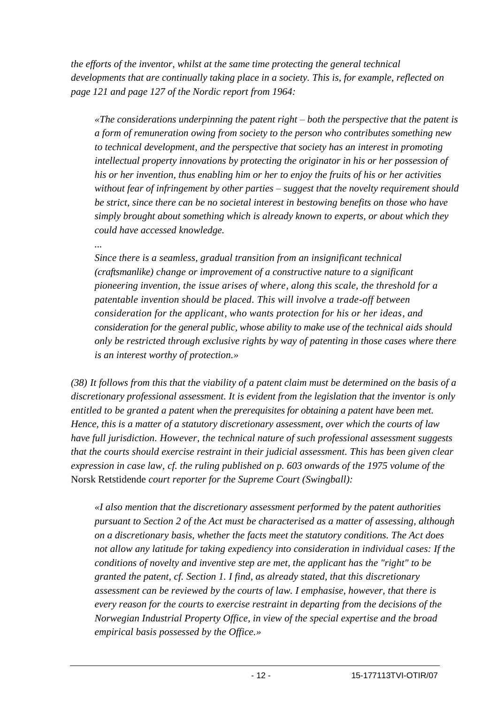*the efforts of the inventor, whilst at the same time protecting the general technical developments that are continually taking place in a society. This is, for example, reflected on page 121 and page 127 of the Nordic report from 1964:*

*«The considerations underpinning the patent right – both the perspective that the patent is a form of remuneration owing from society to the person who contributes something new to technical development, and the perspective that society has an interest in promoting intellectual property innovations by protecting the originator in his or her possession of his or her invention, thus enabling him or her to enjoy the fruits of his or her activities without fear of infringement by other parties – suggest that the novelty requirement should be strict, since there can be no societal interest in bestowing benefits on those who have simply brought about something which is already known to experts, or about which they could have accessed knowledge.*

*...*

*Since there is a seamless, gradual transition from an insignificant technical (craftsmanlike) change or improvement of a constructive nature to a significant pioneering invention, the issue arises of where, along this scale, the threshold for a patentable invention should be placed. This will involve a trade-off between consideration for the applicant, who wants protection for his or her ideas, and consideration for the general public, whose ability to make use of the technical aids should only be restricted through exclusive rights by way of patenting in those cases where there is an interest worthy of protection.»*

*(38) It follows from this that the viability of a patent claim must be determined on the basis of a discretionary professional assessment. It is evident from the legislation that the inventor is only entitled to be granted a patent when the prerequisites for obtaining a patent have been met. Hence, this is a matter of a statutory discretionary assessment, over which the courts of law have full jurisdiction. However, the technical nature of such professional assessment suggests that the courts should exercise restraint in their judicial assessment. This has been given clear expression in case law, cf. the ruling published on p. 603 onwards of the 1975 volume of the*  Norsk Retstidende *court reporter for the Supreme Court (Swingball):*

*«I also mention that the discretionary assessment performed by the patent authorities pursuant to Section 2 of the Act must be characterised as a matter of assessing, although on a discretionary basis, whether the facts meet the statutory conditions. The Act does not allow any latitude for taking expediency into consideration in individual cases: If the conditions of novelty and inventive step are met, the applicant has the "right" to be granted the patent, cf. Section 1. I find, as already stated, that this discretionary assessment can be reviewed by the courts of law. I emphasise, however, that there is every reason for the courts to exercise restraint in departing from the decisions of the Norwegian Industrial Property Office, in view of the special expertise and the broad empirical basis possessed by the Office.»*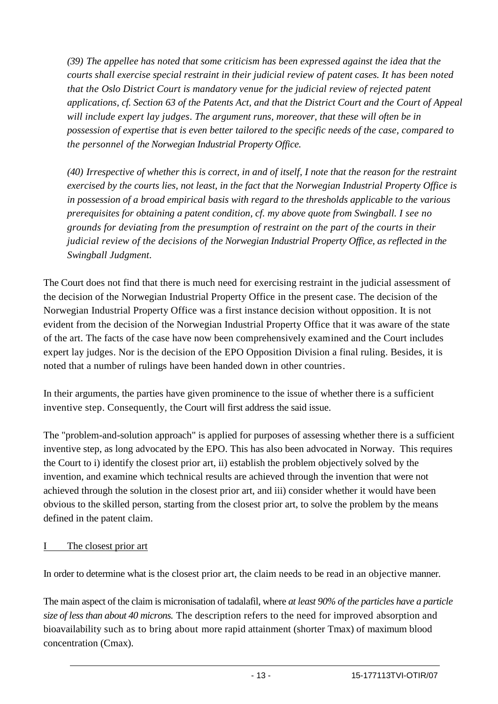*(39) The appellee has noted that some criticism has been expressed against the idea that the courts shall exercise special restraint in their judicial review of patent cases. It has been noted that the Oslo District Court is mandatory venue for the judicial review of rejected patent applications, cf. Section 63 of the Patents Act, and that the District Court and the Court of Appeal will include expert lay judges. The argument runs, moreover, that these will often be in possession of expertise that is even better tailored to the specific needs of the case, compared to the personnel of the Norwegian Industrial Property Office.*

*(40) Irrespective of whether this is correct, in and of itself, I note that the reason for the restraint exercised by the courts lies, not least, in the fact that the Norwegian Industrial Property Office is in possession of a broad empirical basis with regard to the thresholds applicable to the various prerequisites for obtaining a patent condition, cf. my above quote from Swingball. I see no grounds for deviating from the presumption of restraint on the part of the courts in their judicial review of the decisions of the Norwegian Industrial Property Office, as reflected in the Swingball Judgment.*

The Court does not find that there is much need for exercising restraint in the judicial assessment of the decision of the Norwegian Industrial Property Office in the present case. The decision of the Norwegian Industrial Property Office was a first instance decision without opposition. It is not evident from the decision of the Norwegian Industrial Property Office that it was aware of the state of the art. The facts of the case have now been comprehensively examined and the Court includes expert lay judges. Nor is the decision of the EPO Opposition Division a final ruling. Besides, it is noted that a number of rulings have been handed down in other countries.

In their arguments, the parties have given prominence to the issue of whether there is a sufficient inventive step. Consequently, the Court will first address the said issue.

The "problem-and-solution approach" is applied for purposes of assessing whether there is a sufficient inventive step, as long advocated by the EPO. This has also been advocated in Norway. This requires the Court to i) identify the closest prior art, ii) establish the problem objectively solved by the invention, and examine which technical results are achieved through the invention that were not achieved through the solution in the closest prior art, and iii) consider whether it would have been obvious to the skilled person, starting from the closest prior art, to solve the problem by the means defined in the patent claim.

### I The closest prior art

In order to determine what is the closest prior art, the claim needs to be read in an objective manner.

The main aspect of the claim is micronisation of tadalafil, where *at least 90% of the particles have a particle size of less than about 40 microns.* The description refers to the need for improved absorption and bioavailability such as to bring about more rapid attainment (shorter Tmax) of maximum blood concentration (Cmax).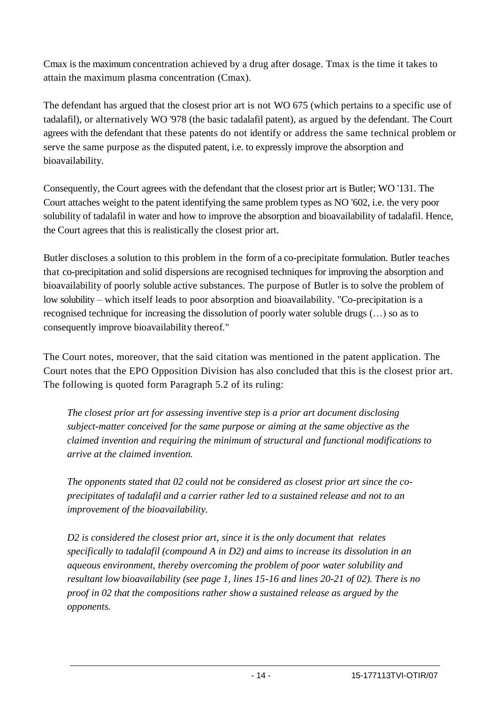Cmax is the maximum concentration achieved by a drug after dosage. Tmax is the time it takes to attain the maximum plasma concentration (Cmax).

The defendant has argued that the closest prior art is not WO 675 (which pertains to a specific use of tadalafil), or alternatively WO '978 (the basic tadalafil patent), as argued by the defendant. The Court agrees with the defendant that these patents do not identify or address the same technical problem or serve the same purpose as the disputed patent, i.e. to expressly improve the absorption and bioavailability.

Consequently, the Court agrees with the defendant that the closest prior art is Butler; WO '131. The Court attaches weight to the patent identifying the same problem types as NO '602, i.e. the very poor solubility of tadalafil in water and how to improve the absorption and bioavailability of tadalafil. Hence, the Court agrees that this is realistically the closest prior art.

Butler discloses a solution to this problem in the form of a co-precipitate formulation. Butler teaches that co-precipitation and solid dispersions are recognised techniques for improving the absorption and bioavailability of poorly soluble active substances. The purpose of Butler is to solve the problem of low solubility – which itself leads to poor absorption and bioavailability. "Co-precipitation is a recognised technique for increasing the dissolution of poorly water soluble drugs (…) so as to consequently improve bioavailability thereof."

The Court notes, moreover, that the said citation was mentioned in the patent application. The Court notes that the EPO Opposition Division has also concluded that this is the closest prior art. The following is quoted form Paragraph 5.2 of its ruling:

*The closest prior art for assessing inventive step is a prior art document disclosing subject-matter conceived for the same purpose or aiming at the same objective as the claimed invention and requiring the minimum of structural and functional modifications to arrive at the claimed invention.*

*The opponents stated that 02 could not be considered as closest prior art since the coprecipitates of tadalafil and a carrier rather led to a sustained release and not to an improvement of the bioavailability.*

*D2 is considered the closest prior art, since it is the only document that relates specifically to tadalafil (compound A in D2) and aims to increase its dissolution in an aqueous environment, thereby overcoming the problem of poor water solubility and resultant low bioavailability (see page 1, lines 15-16 and lines 20-21 of 02). There is no proof in 02 that the compositions rather show a sustained release as argued by the opponents.*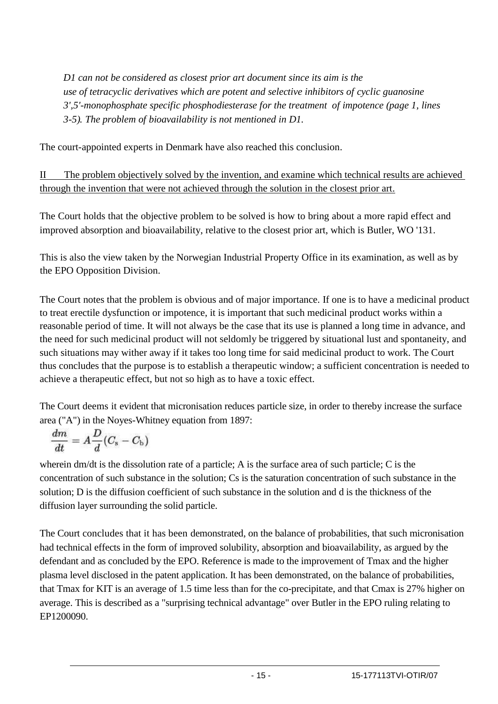*D1 can not be considered as closest prior art document since its aim is the use of tetracyclic derivatives which are potent and selective inhibitors of cyclic guanosine 3',5'-monophosphate specific phosphodiesterase for the treatment of impotence (page 1, lines 3-5). The problem of bioavailability is not mentioned in D1.*

The court-appointed experts in Denmark have also reached this conclusion.

II The problem objectively solved by the invention, and examine which technical results are achieved through the invention that were not achieved through the solution in the closest prior art.

The Court holds that the objective problem to be solved is how to bring about a more rapid effect and improved absorption and bioavailability, relative to the closest prior art, which is Butler, WO '131.

This is also the view taken by the Norwegian Industrial Property Office in its examination, as well as by the EPO Opposition Division.

The Court notes that the problem is obvious and of major importance. If one is to have a medicinal product to treat erectile dysfunction or impotence, it is important that such medicinal product works within a reasonable period of time. It will not always be the case that its use is planned a long time in advance, and the need for such medicinal product will not seldomly be triggered by situational lust and spontaneity, and such situations may wither away if it takes too long time for said medicinal product to work. The Court thus concludes that the purpose is to establish a therapeutic window; a sufficient concentration is needed to achieve a therapeutic effect, but not so high as to have a toxic effect.

The Court deems it evident that micronisation reduces particle size, in order to thereby increase the surface area ("A") in the Noyes-Whitney equation from 1897:

$$
\frac{dm}{dt}=A\frac{D}{d}(C_{\rm s}-C_{\rm b})
$$

wherein dm/dt is the dissolution rate of a particle; A is the surface area of such particle; C is the concentration of such substance in the solution; Cs is the saturation concentration of such substance in the solution; D is the diffusion coefficient of such substance in the solution and d is the thickness of the diffusion layer surrounding the solid particle.

The Court concludes that it has been demonstrated, on the balance of probabilities, that such micronisation had technical effects in the form of improved solubility, absorption and bioavailability, as argued by the defendant and as concluded by the EPO. Reference is made to the improvement of Tmax and the higher plasma level disclosed in the patent application. It has been demonstrated, on the balance of probabilities, that Tmax for KIT is an average of 1.5 time less than for the co-precipitate, and that Cmax is 27% higher on average. This is described as a "surprising technical advantage" over Butler in the EPO ruling relating to EP1200090.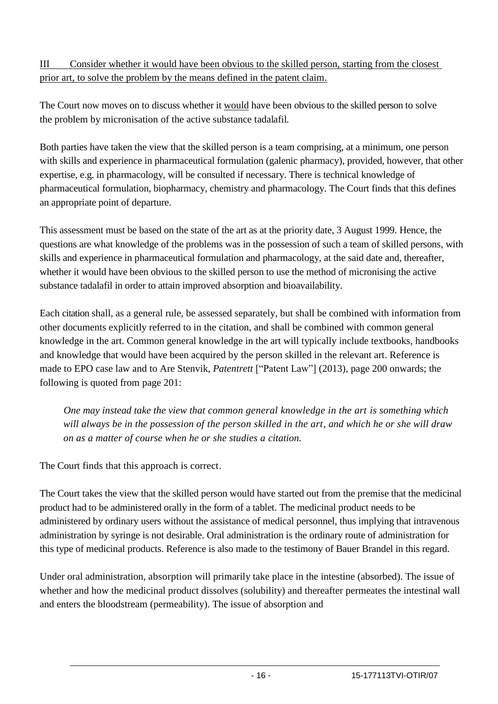# III Consider whether it would have been obvious to the skilled person, starting from the closest prior art, to solve the problem by the means defined in the patent claim.

The Court now moves on to discuss whether it would have been obvious to the skilled person to solve the problem by micronisation of the active substance tadalafil.

Both parties have taken the view that the skilled person is a team comprising, at a minimum, one person with skills and experience in pharmaceutical formulation (galenic pharmacy), provided, however, that other expertise, e.g. in pharmacology, will be consulted if necessary. There is technical knowledge of pharmaceutical formulation, biopharmacy, chemistry and pharmacology. The Court finds that this defines an appropriate point of departure.

This assessment must be based on the state of the art as at the priority date, 3 August 1999. Hence, the questions are what knowledge of the problems was in the possession of such a team of skilled persons, with skills and experience in pharmaceutical formulation and pharmacology, at the said date and, thereafter, whether it would have been obvious to the skilled person to use the method of micronising the active substance tadalafil in order to attain improved absorption and bioavailability.

Each citation shall, as a general rule, be assessed separately, but shall be combined with information from other documents explicitly referred to in the citation, and shall be combined with common general knowledge in the art. Common general knowledge in the art will typically include textbooks, handbooks and knowledge that would have been acquired by the person skilled in the relevant art. Reference is made to EPO case law and to Are Stenvik, *Patentrett* ["Patent Law"] (2013), page 200 onwards; the following is quoted from page 201:

*One may instead take the view that common general knowledge in the art is something which will always be in the possession of the person skilled in the art, and which he or she will draw on as a matter of course when he or she studies a citation.*

The Court finds that this approach is correct.

The Court takes the view that the skilled person would have started out from the premise that the medicinal product had to be administered orally in the form of a tablet. The medicinal product needs to be administered by ordinary users without the assistance of medical personnel, thus implying that intravenous administration by syringe is not desirable. Oral administration is the ordinary route of administration for this type of medicinal products. Reference is also made to the testimony of Bauer Brandel in this regard.

Under oral administration, absorption will primarily take place in the intestine (absorbed). The issue of whether and how the medicinal product dissolves (solubility) and thereafter permeates the intestinal wall and enters the bloodstream (permeability). The issue of absorption and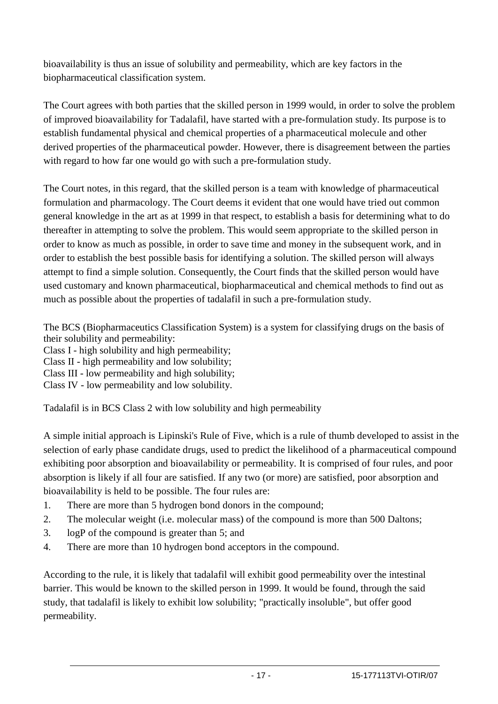bioavailability is thus an issue of solubility and permeability, which are key factors in the biopharmaceutical classification system.

The Court agrees with both parties that the skilled person in 1999 would, in order to solve the problem of improved bioavailability for Tadalafil, have started with a pre-formulation study. Its purpose is to establish fundamental physical and chemical properties of a pharmaceutical molecule and other derived properties of the pharmaceutical powder. However, there is disagreement between the parties with regard to how far one would go with such a pre-formulation study.

The Court notes, in this regard, that the skilled person is a team with knowledge of pharmaceutical formulation and pharmacology. The Court deems it evident that one would have tried out common general knowledge in the art as at 1999 in that respect, to establish a basis for determining what to do thereafter in attempting to solve the problem. This would seem appropriate to the skilled person in order to know as much as possible, in order to save time and money in the subsequent work, and in order to establish the best possible basis for identifying a solution. The skilled person will always attempt to find a simple solution. Consequently, the Court finds that the skilled person would have used customary and known pharmaceutical, biopharmaceutical and chemical methods to find out as much as possible about the properties of tadalafil in such a pre-formulation study.

The BCS (Biopharmaceutics Classification System) is a system for classifying drugs on the basis of their solubility and permeability:

Class I - high solubility and high permeability;

Class II - high permeability and low solubility;

Class III - low permeability and high solubility;

Class IV - low permeability and low solubility.

Tadalafil is in BCS Class 2 with low solubility and high permeability

A simple initial approach is Lipinski's Rule of Five, which is a rule of thumb developed to assist in the selection of early phase candidate drugs, used to predict the likelihood of a pharmaceutical compound exhibiting poor absorption and bioavailability or permeability. It is comprised of four rules, and poor absorption is likely if all four are satisfied. If any two (or more) are satisfied, poor absorption and bioavailability is held to be possible. The four rules are:

- 1. There are more than 5 hydrogen bond donors in the compound;
- 2. The molecular weight (i.e. molecular mass) of the compound is more than 500 Daltons;
- 3. logP of the compound is greater than 5; and
- 4. There are more than 10 hydrogen bond acceptors in the compound.

According to the rule, it is likely that tadalafil will exhibit good permeability over the intestinal barrier. This would be known to the skilled person in 1999. It would be found, through the said study, that tadalafil is likely to exhibit low solubility; "practically insoluble", but offer good permeability.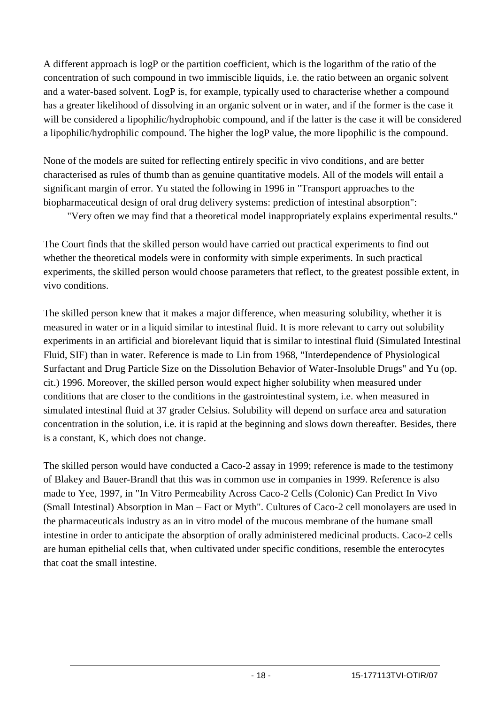A different approach is logP or the partition coefficient, which is the logarithm of the ratio of the concentration of such compound in two immiscible liquids, i.e. the ratio between an organic solvent and a water-based solvent. LogP is, for example, typically used to characterise whether a compound has a greater likelihood of dissolving in an organic solvent or in water, and if the former is the case it will be considered a lipophilic/hydrophobic compound, and if the latter is the case it will be considered a lipophilic/hydrophilic compound. The higher the logP value, the more lipophilic is the compound.

None of the models are suited for reflecting entirely specific in vivo conditions, and are better characterised as rules of thumb than as genuine quantitative models. All of the models will entail a significant margin of error. Yu stated the following in 1996 in "Transport approaches to the biopharmaceutical design of oral drug delivery systems: prediction of intestinal absorption":

"Very often we may find that a theoretical model inappropriately explains experimental results."

The Court finds that the skilled person would have carried out practical experiments to find out whether the theoretical models were in conformity with simple experiments. In such practical experiments, the skilled person would choose parameters that reflect, to the greatest possible extent, in vivo conditions.

The skilled person knew that it makes a major difference, when measuring solubility, whether it is measured in water or in a liquid similar to intestinal fluid. It is more relevant to carry out solubility experiments in an artificial and biorelevant liquid that is similar to intestinal fluid (Simulated Intestinal Fluid, SIF) than in water. Reference is made to Lin from 1968, "Interdependence of Physiological Surfactant and Drug Particle Size on the Dissolution Behavior of Water-Insoluble Drugs" and Yu (op. cit.) 1996. Moreover, the skilled person would expect higher solubility when measured under conditions that are closer to the conditions in the gastrointestinal system, i.e. when measured in simulated intestinal fluid at 37 grader Celsius. Solubility will depend on surface area and saturation concentration in the solution, i.e. it is rapid at the beginning and slows down thereafter. Besides, there is a constant, K, which does not change.

The skilled person would have conducted a Caco-2 assay in 1999; reference is made to the testimony of Blakey and Bauer-Brandl that this was in common use in companies in 1999. Reference is also made to Yee, 1997, in "In Vitro Permeability Across Caco-2 Cells (Colonic) Can Predict In Vivo (Small Intestinal) Absorption in Man – Fact or Myth". Cultures of Caco-2 cell monolayers are used in the pharmaceuticals industry as an in vitro model of the mucous membrane of the humane small intestine in order to anticipate the absorption of orally administered medicinal products. Caco-2 cells are human epithelial cells that, when cultivated under specific conditions, resemble the enterocytes that coat the small intestine.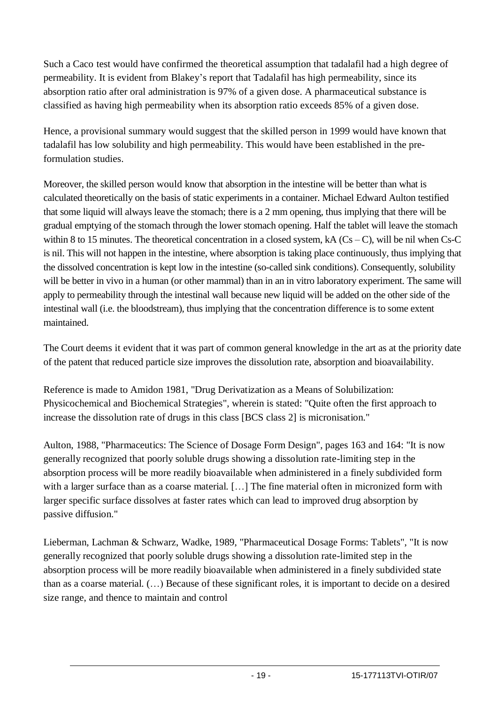Such a Caco test would have confirmed the theoretical assumption that tadalafil had a high degree of permeability. It is evident from Blakey's report that Tadalafil has high permeability, since its absorption ratio after oral administration is 97% of a given dose. A pharmaceutical substance is classified as having high permeability when its absorption ratio exceeds 85% of a given dose.

Hence, a provisional summary would suggest that the skilled person in 1999 would have known that tadalafil has low solubility and high permeability. This would have been established in the preformulation studies.

Moreover, the skilled person would know that absorption in the intestine will be better than what is calculated theoretically on the basis of static experiments in a container. Michael Edward Aulton testified that some liquid will always leave the stomach; there is a 2 mm opening, thus implying that there will be gradual emptying of the stomach through the lower stomach opening. Half the tablet will leave the stomach within 8 to 15 minutes. The theoretical concentration in a closed system, kA  $(Cs - C)$ , will be nil when Cs-C is nil. This will not happen in the intestine, where absorption is taking place continuously, thus implying that the dissolved concentration is kept low in the intestine (so-called sink conditions). Consequently, solubility will be better in vivo in a human (or other mammal) than in an in vitro laboratory experiment. The same will apply to permeability through the intestinal wall because new liquid will be added on the other side of the intestinal wall (i.e. the bloodstream), thus implying that the concentration difference is to some extent maintained.

The Court deems it evident that it was part of common general knowledge in the art as at the priority date of the patent that reduced particle size improves the dissolution rate, absorption and bioavailability.

Reference is made to Amidon 1981, "Drug Derivatization as a Means of Solubilization: Physicochemical and Biochemical Strategies", wherein is stated: "Quite often the first approach to increase the dissolution rate of drugs in this class [BCS class 2] is micronisation."

Aulton, 1988, "Pharmaceutics: The Science of Dosage Form Design", pages 163 and 164: "It is now generally recognized that poorly soluble drugs showing a dissolution rate-limiting step in the absorption process will be more readily bioavailable when administered in a finely subdivided form with a larger surface than as a coarse material. [...] The fine material often in micronized form with larger specific surface dissolves at faster rates which can lead to improved drug absorption by passive diffusion."

Lieberman, Lachman & Schwarz, Wadke, 1989, "Pharmaceutical Dosage Forms: Tablets", "It is now generally recognized that poorly soluble drugs showing a dissolution rate-limited step in the absorption process will be more readily bioavailable when administered in a finely subdivided state than as a coarse material. (…) Because of these significant roles, it is important to decide on a desired size range, and thence to maintain and control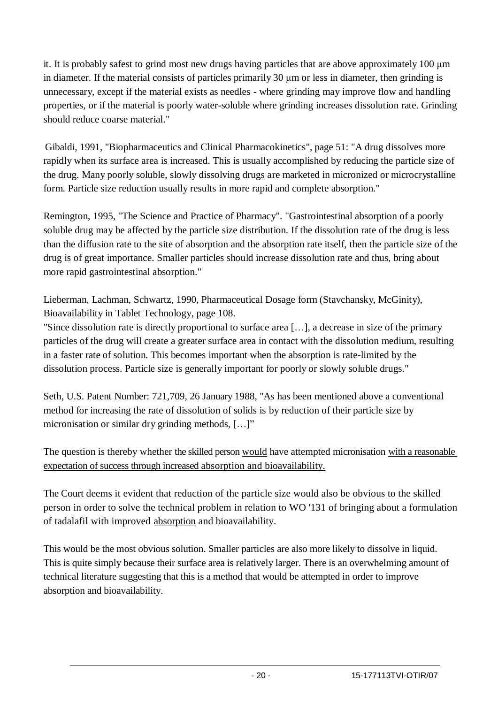it. It is probably safest to grind most new drugs having particles that are above approximately 100 μm in diameter. If the material consists of particles primarily 30 μm or less in diameter, then grinding is unnecessary, except if the material exists as needles - where grinding may improve flow and handling properties, or if the material is poorly water-soluble where grinding increases dissolution rate. Grinding should reduce coarse material."

Gibaldi, 1991, "Biopharmaceutics and Clinical Pharmacokinetics", page 51: "A drug dissolves more rapidly when its surface area is increased. This is usually accomplished by reducing the particle size of the drug. Many poorly soluble, slowly dissolving drugs are marketed in micronized or microcrystalline form. Particle size reduction usually results in more rapid and complete absorption."

Remington, 1995, "The Science and Practice of Pharmacy". "Gastrointestinal absorption of a poorly soluble drug may be affected by the particle size distribution. If the dissolution rate of the drug is less than the diffusion rate to the site of absorption and the absorption rate itself, then the particle size of the drug is of great importance. Smaller particles should increase dissolution rate and thus, bring about more rapid gastrointestinal absorption."

Lieberman, Lachman, Schwartz, 1990, Pharmaceutical Dosage form (Stavchansky, McGinity), Bioavailability in Tablet Technology, page 108.

"Since dissolution rate is directly proportional to surface area […], a decrease in size of the primary particles of the drug will create a greater surface area in contact with the dissolution medium, resulting in a faster rate of solution. This becomes important when the absorption is rate-limited by the dissolution process. Particle size is generally important for poorly or slowly soluble drugs."

Seth, U.S. Patent Number: 721,709, 26 January 1988, "As has been mentioned above a conventional method for increasing the rate of dissolution of solids is by reduction of their particle size by micronisation or similar dry grinding methods, [...]"

The question is thereby whether the skilled person would have attempted micronisation with a reasonable expectation of success through increased absorption and bioavailability.

The Court deems it evident that reduction of the particle size would also be obvious to the skilled person in order to solve the technical problem in relation to WO '131 of bringing about a formulation of tadalafil with improved absorption and bioavailability.

This would be the most obvious solution. Smaller particles are also more likely to dissolve in liquid. This is quite simply because their surface area is relatively larger. There is an overwhelming amount of technical literature suggesting that this is a method that would be attempted in order to improve absorption and bioavailability.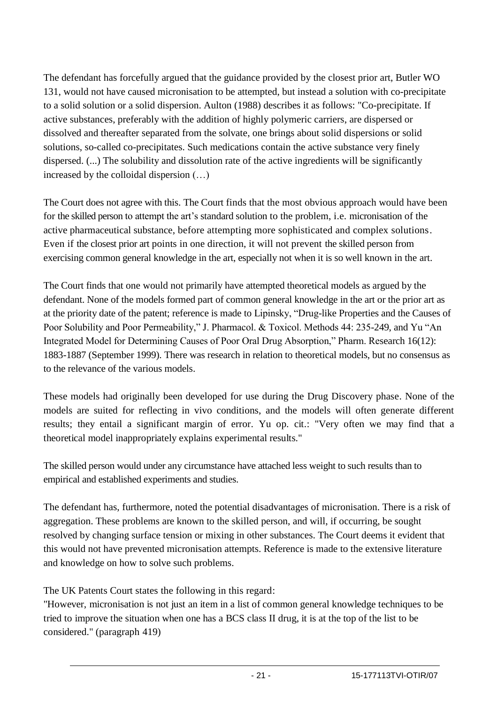The defendant has forcefully argued that the guidance provided by the closest prior art, Butler WO 131, would not have caused micronisation to be attempted, but instead a solution with co-precipitate to a solid solution or a solid dispersion. Aulton (1988) describes it as follows: "Co-precipitate. If active substances, preferably with the addition of highly polymeric carriers, are dispersed or dissolved and thereafter separated from the solvate, one brings about solid dispersions or solid solutions, so-called co-precipitates. Such medications contain the active substance very finely dispersed. (...) The solubility and dissolution rate of the active ingredients will be significantly increased by the colloidal dispersion (…)

The Court does not agree with this. The Court finds that the most obvious approach would have been for the skilled person to attempt the art's standard solution to the problem, i.e. micronisation of the active pharmaceutical substance, before attempting more sophisticated and complex solutions. Even if the closest prior art points in one direction, it will not prevent the skilled person from exercising common general knowledge in the art, especially not when it is so well known in the art.

The Court finds that one would not primarily have attempted theoretical models as argued by the defendant. None of the models formed part of common general knowledge in the art or the prior art as at the priority date of the patent; reference is made to Lipinsky, "Drug-like Properties and the Causes of Poor Solubility and Poor Permeability," J. Pharmacol. & Toxicol. Methods 44: 235-249, and Yu "An Integrated Model for Determining Causes of Poor Oral Drug Absorption," Pharm. Research 16(12): 1883-1887 (September 1999). There was research in relation to theoretical models, but no consensus as to the relevance of the various models.

These models had originally been developed for use during the Drug Discovery phase. None of the models are suited for reflecting in vivo conditions, and the models will often generate different results; they entail a significant margin of error. Yu op. cit.: "Very often we may find that a theoretical model inappropriately explains experimental results."

The skilled person would under any circumstance have attached less weight to such results than to empirical and established experiments and studies.

The defendant has, furthermore, noted the potential disadvantages of micronisation. There is a risk of aggregation. These problems are known to the skilled person, and will, if occurring, be sought resolved by changing surface tension or mixing in other substances. The Court deems it evident that this would not have prevented micronisation attempts. Reference is made to the extensive literature and knowledge on how to solve such problems.

The UK Patents Court states the following in this regard:

"However, micronisation is not just an item in a list of common general knowledge techniques to be tried to improve the situation when one has a BCS class II drug, it is at the top of the list to be considered." (paragraph 419)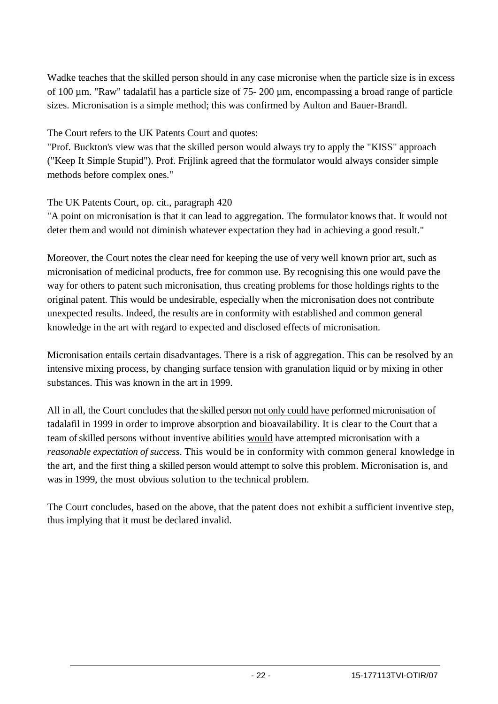Wadke teaches that the skilled person should in any case micronise when the particle size is in excess of 100 µm. "Raw" tadalafil has a particle size of 75- 200 µm, encompassing a broad range of particle sizes. Micronisation is a simple method; this was confirmed by Aulton and Bauer-Brandl.

The Court refers to the UK Patents Court and quotes:

"Prof. Buckton's view was that the skilled person would always try to apply the "KISS" approach ("Keep It Simple Stupid"). Prof. Frijlink agreed that the formulator would always consider simple methods before complex ones."

The UK Patents Court, op. cit., paragraph 420

"A point on micronisation is that it can lead to aggregation. The formulator knows that. It would not deter them and would not diminish whatever expectation they had in achieving a good result."

Moreover, the Court notes the clear need for keeping the use of very well known prior art, such as micronisation of medicinal products, free for common use. By recognising this one would pave the way for others to patent such micronisation, thus creating problems for those holdings rights to the original patent. This would be undesirable, especially when the micronisation does not contribute unexpected results. Indeed, the results are in conformity with established and common general knowledge in the art with regard to expected and disclosed effects of micronisation.

Micronisation entails certain disadvantages. There is a risk of aggregation. This can be resolved by an intensive mixing process, by changing surface tension with granulation liquid or by mixing in other substances. This was known in the art in 1999.

All in all, the Court concludes that the skilled person not only could have performed micronisation of tadalafil in 1999 in order to improve absorption and bioavailability. It is clear to the Court that a team of skilled persons without inventive abilities would have attempted micronisation with a *reasonable expectation of success*. This would be in conformity with common general knowledge in the art, and the first thing a skilled person would attempt to solve this problem. Micronisation is, and was in 1999, the most obvious solution to the technical problem.

The Court concludes, based on the above, that the patent does not exhibit a sufficient inventive step, thus implying that it must be declared invalid.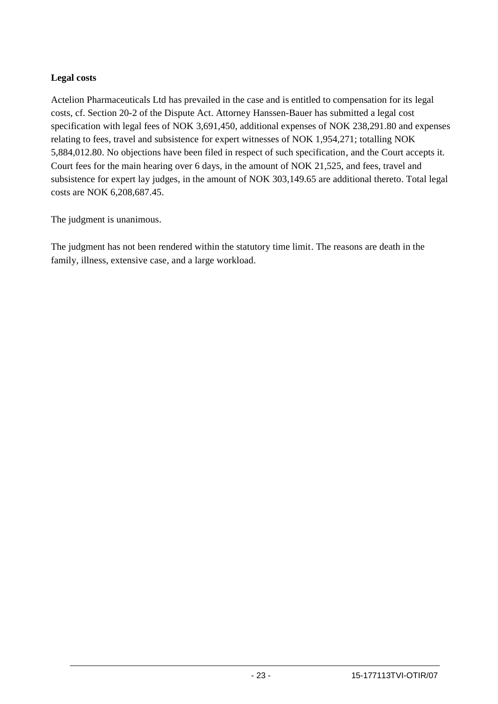### **Legal costs**

Actelion Pharmaceuticals Ltd has prevailed in the case and is entitled to compensation for its legal costs, cf. Section 20-2 of the Dispute Act. Attorney Hanssen-Bauer has submitted a legal cost specification with legal fees of NOK 3,691,450, additional expenses of NOK 238,291.80 and expenses relating to fees, travel and subsistence for expert witnesses of NOK 1,954,271; totalling NOK 5,884,012.80. No objections have been filed in respect of such specification, and the Court accepts it. Court fees for the main hearing over 6 days, in the amount of NOK 21,525, and fees, travel and subsistence for expert lay judges, in the amount of NOK 303,149.65 are additional thereto. Total legal costs are NOK 6,208,687.45.

The judgment is unanimous.

The judgment has not been rendered within the statutory time limit. The reasons are death in the family, illness, extensive case, and a large workload.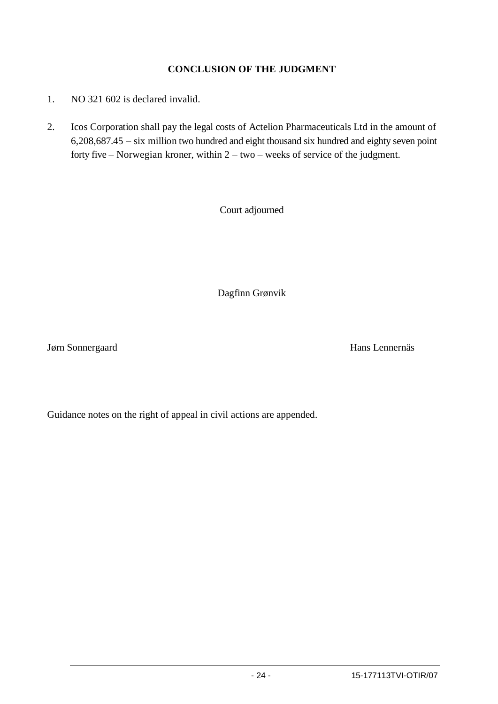### **CONCLUSION OF THE JUDGMENT**

- 1. NO 321 602 is declared invalid.
- 2. Icos Corporation shall pay the legal costs of Actelion Pharmaceuticals Ltd in the amount of 6,208,687.45 – six million two hundred and eight thousand six hundred and eighty seven point forty five – Norwegian kroner, within 2 – two – weeks of service of the judgment.

Court adjourned

Dagfinn Grønvik

Jørn Sonnergaard Hans Lennernäs

Guidance notes on the right of appeal in civil actions are appended.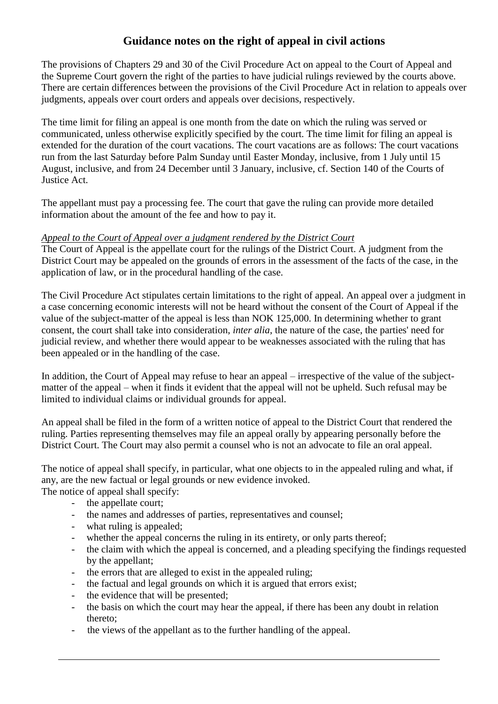# **Guidance notes on the right of appeal in civil actions**

The provisions of Chapters 29 and 30 of the Civil Procedure Act on appeal to the Court of Appeal and the Supreme Court govern the right of the parties to have judicial rulings reviewed by the courts above. There are certain differences between the provisions of the Civil Procedure Act in relation to appeals over judgments, appeals over court orders and appeals over decisions, respectively.

The time limit for filing an appeal is one month from the date on which the ruling was served or communicated, unless otherwise explicitly specified by the court. The time limit for filing an appeal is extended for the duration of the court vacations. The court vacations are as follows: The court vacations run from the last Saturday before Palm Sunday until Easter Monday, inclusive, from 1 July until 15 August, inclusive, and from 24 December until 3 January, inclusive, cf. Section 140 of the Courts of Justice Act.

The appellant must pay a processing fee. The court that gave the ruling can provide more detailed information about the amount of the fee and how to pay it.

#### *Appeal to the Court of Appeal over a judgment rendered by the District Court*

The Court of Appeal is the appellate court for the rulings of the District Court. A judgment from the District Court may be appealed on the grounds of errors in the assessment of the facts of the case, in the application of law, or in the procedural handling of the case.

The Civil Procedure Act stipulates certain limitations to the right of appeal. An appeal over a judgment in a case concerning economic interests will not be heard without the consent of the Court of Appeal if the value of the subject-matter of the appeal is less than NOK 125,000. In determining whether to grant consent, the court shall take into consideration, *inter alia*, the nature of the case, the parties' need for judicial review, and whether there would appear to be weaknesses associated with the ruling that has been appealed or in the handling of the case.

In addition, the Court of Appeal may refuse to hear an appeal – irrespective of the value of the subjectmatter of the appeal – when it finds it evident that the appeal will not be upheld. Such refusal may be limited to individual claims or individual grounds for appeal.

An appeal shall be filed in the form of a written notice of appeal to the District Court that rendered the ruling. Parties representing themselves may file an appeal orally by appearing personally before the District Court. The Court may also permit a counsel who is not an advocate to file an oral appeal.

The notice of appeal shall specify, in particular, what one objects to in the appealed ruling and what, if any, are the new factual or legal grounds or new evidence invoked. The notice of appeal shall specify:

- the appellate court;
- the names and addresses of parties, representatives and counsel;
- what ruling is appealed;
- whether the appeal concerns the ruling in its entirety, or only parts thereof;
- the claim with which the appeal is concerned, and a pleading specifying the findings requested by the appellant;
- the errors that are alleged to exist in the appealed ruling;
- the factual and legal grounds on which it is argued that errors exist;
- the evidence that will be presented;
- the basis on which the court may hear the appeal, if there has been any doubt in relation thereto;
- the views of the appellant as to the further handling of the appeal.